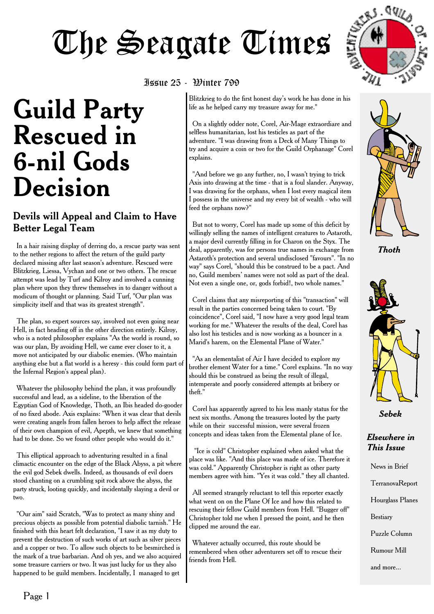# **The Seagate Times**

# **Guild Party Rescued in 6-nil Gods Decision**

#### Devils will Appeal and Claim to Have Better Legal Team

In a hair raising display of derring do, a rescue party was sent to the nether regions to affect the return of the guild party declared missing after last season's adventure. Rescued were Blitzkrieg, Liessa, Vychan and one or two others. The rescue attempt was lead by Turf and Kilroy and involved a cunning plan where upon they threw themselves in to danger without a modicum of thought or planning. Said Turf, "Our plan was simplicity itself and that was its greatest strength".

The plan, so expert sources say, involved not even going near Hell, in fact heading off in the other direction entirely. Kilroy, who is a noted philosopher explains "As the world is round, so was our plan, By avoiding Hell, we came ever closer to it, a move not anticipated by our diabolic enemies. (Who maintain anything else but a flat world is a heresy - this could form part of the Infernal Region's appeal plan).

Whatever the philosophy behind the plan, it was profoundly successful and lead, as a sideline, to the liberation of the Egyptian God of Knowledge, Thoth, an Ibis headed do-gooder of no fixed abode. Axis explains: "When it was clear that devils were creating angels from fallen heroes to help affect the release of their own champion of evil, Apepth, we knew that something had to be done. So we found other people who would do it."

This elliptical approach to adventuring resulted in a final climactic encounter on the edge of the Black Abyss, a pit where the evil god Sebek dwells. Indeed, as thousands of evil doers stood chanting on a crumbling spit rock above the abyss, the party struck, looting quickly, and incidentally slaying a devil or two.

"Our aim" said Scratch, "Was to protect as many shiny and precious objects as possible from potential diabolic tarnish." He finished with this heart felt declaration, "I saw it as my duty to prevent the destruction of such works of art such as silver pieces and a copper or two. To allow such objects to be besmirched is the mark of a true barbarian. And oh yes, and we also acquired some treasure carriers or two. It was just lucky for us they also happened to be guild members. Incidentally, I managed to get

#### Issue 25 - Winter 799

Blitzkrieg to do the first honest day's work he has done in his life as he helped carry my treasure away for me."

On a slightly odder note, Corel, Air-Mage extraordiare and selfless humanitarian, lost his testicles as part of the adventure. "I was drawing from a Deck of Many Things to try and acquire a coin or two for the Guild Orphanage" Corel explains.

"And before we go any further, no, I wasn't trying to trick Axis into drawing at the time - that is a foul slander. Anyway, I was drawing for the orphans, when I lost every magical item I possess in the universe and my every bit of wealth - who will feed the orphans now?"

But not to worry, Corel has made up some of this deficit by willingly selling the names of intelligent creatures to Astaroth, a major devil currently filling in for Charon on the Styx. The deal, apparently, was for persons true names in exchange from Astaroth's protection and several undisclosed "favours". "In no way" says Corel, "should this be construed to be a pact. And no, Guild members' names were not sold as part of the deal. Not even a single one, or, gods forbid!, two whole names."

Corel claims that any misreporting of this "transaction" will result in the parties concerned being taken to court. "By coincidence", Corel said, "I now have a very good legal team working for me." Whatever the results of the deal, Corel has also lost his testicles and is now working as a bouncer in a Marid's harem, on the Elemental Plane of Water."

"As an elementalist of Air I have decided to explore my brother element Water for a time." Corel explains. "In no way should this be construed as being the result of illegal, intemperate and poorly considered attempts at bribery or theft."

Corel has apparently agreed to his less manly status for the next six months. Among the treasures looted by the party while on their successful mission, were several frozen concepts and ideas taken from the Elemental plane of Ice.

"Ice is cold" Christopher explained when asked what the place was like. "And this place was made of ice. Therefore it was cold." Apparently Christopher is right as other party members agree with him. "Yes it was cold." they all chanted.

All seemed strangely reluctant to tell this reporter exactly what went on on the Plane Of Ice and how this related to rescuing their fellow Guild members from Hell. "Bugger off" Christopher told me when I pressed the point, and he then clipped me around the ear.

Whatever actually occurred, this route should be remembered when other adventurers set off to rescue their friends from Hell.



*Thoth*



*Sebek*

#### *Elsewhere in This Issue*

News in Brief TerranovaReport Hourglass Planes Bestiary

Puzzle Column

Rumour Mill

and more...

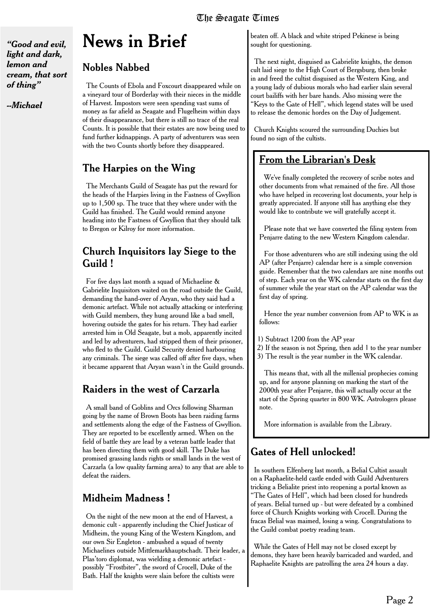*"Good and evil, light and dark, lemon and cream, that sort of thing"*

*--Michael*

### **News in Brief**

#### Nobles Nabbed

The Counts of Ebola and Foxcourt disappeared while on a vineyard tour of Borderlay with their nieces in the middle of Harvest. Impostors were seen spending vast sums of money as far afield as Seagate and Flugelheim within days of their disappearance, but there is still no trace of the real Counts. It is possible that their estates are now being used to fund further kidnappings. A party of adventurers was seen with the two Counts shortly before they disappeared.

#### The Harpies on the Wing

The Merchants Guild of Seagate has put the reward for the heads of the Harpies living in the Fastness of Gwyllion up to 1,500 sp. The truce that they where under with the Guild has finished. The Guild would remind anyone heading into the Fastness of Gwyllion that they should talk to Bregon or Kilroy for more information.

#### Church Inquisitors lay Siege to the Guild !

For five days last month a squad of Michaeline & Gabrielite Inquisitors waited on the road outside the Guild, demanding the hand-over of Aryan, who they said had a demonic artefact. While not actually attacking or interfering with Guild members, they hung around like a bad smell, hovering outside the gates for his return. They had earlier arrested him in Old Seagate, but a mob, apparently incited and led by adventurers, had stripped them of their prisoner, who fled to the Guild. Guild Security denied harbouring any criminals. The siege was called off after five days, when it became apparent that Aryan wasn't in the Guild grounds.

#### Raiders in the west of Carzarla

A small band of Goblins and Orcs following Sharman going by the name of Brown Boots has been raiding farms and settlements along the edge of the Fastness of Gwyllion. They are reported to be excellently armed. When on the field of battle they are lead by a veteran battle leader that has been directing them with good skill. The Duke has promised grassing lands rights or small lands in the west of Carzarla (a low quality farming area) to any that are able to defeat the raiders.

#### Midheim Madness !

On the night of the new moon at the end of Harvest, a demonic cult - apparently including the Chief Justicar of Midheim, the young King of the Western Kingdom, and our own Sir Engleton - ambushed a squad of twenty Michaelines outside Mittlemarkhauptschadt. Their leader, a Plas'toro diplomat, was wielding a demonic artefact possibly "Frostbiter", the sword of Crocell, Duke of the Bath. Half the knights were slain before the cultists were

beaten off. A black and white striped Pekinese is being sought for questioning.

The next night, disguised as Gabrielite knights, the demon cult laid siege to the High Court of Bergsburg, then broke in and freed the cultist disguised as the Western King, and a young lady of dubious morals who had earlier slain several court bailiffs with her bare hands. Also missing were the "Keys to the Gate of Hell", which legend states will be used to release the demonic hordes on the Day of Judgement.

Church Knights scoured the surrounding Duchies but found no sign of the cultists.

#### From the Librarian's Desk

We've finally completed the recovery of scribe notes and other documents from what remained of the fire. All those who have helped in recovering lost documents, your help is greatly appreciated. If anyone still has anything else they would like to contribute we will gratefully accept it.

Please note that we have converted the filing system from Penjarre dating to the new Western Kingdom calendar.

For those adventurers who are still indexing using the old AP (after Penjarre) calendar here is a simple conversion guide. Remember that the two calendars are nine months out of step. Each year on the WK calendar starts on the first day of summer while the year start on the AP calendar was the first day of spring.

Hence the year number conversion from AP to WK is as follows:

- 1) Subtract 1200 from the AP year
- 2) If the season is not Spring, then add 1 to the year number
- 3) The result is the year number in the WK calendar.

This means that, with all the millenial prophecies coming up, and for anyone planning on marking the start of the 2000th year after Penjarre, this will actually occur at the start of the Spring quarter in 800 WK. Astrologers please note.

More information is available from the Library.

#### Gates of Hell unlocked!

In southern Elfenberg last month, a Belial Cultist assault on a Raphaelite-held castle ended with Guild Adventurers tricking a Belialite priest into reopening a portal known as "The Gates of Hell", which had been closed for hundreds of years. Belial turned up - but were defeated by a combined force of Church Knights working with Crocell. During the fracas Belial was maimed, losing a wing. Congratulations to the Guild combat poetry reading team.

While the Gates of Hell may not be closed except by demons, they have been heavily barricaded and warded, and Raphaelite Knights are patrolling the area 24 hours a day.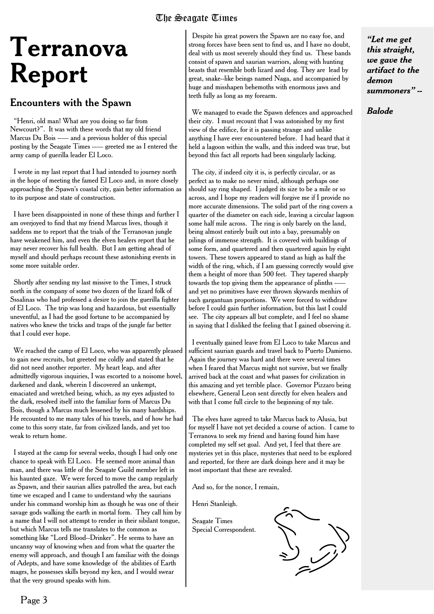#### The Seagate Times

# **Terranova Report**

#### Encounters with the Spawn

"Henri, old man! What are you doing so far from Newcourt?". It was with these words that my old friend Marcus Du Bois ---- and a previous holder of this special posting by the Seagate Times ---- greeted me as I entered the army camp of guerilla leader El Loco.

I wrote in my last report that I had intended to journey north in the hope of meeting the famed El Loco and, in more closely approaching the Spawn's coastal city, gain better information as to its purpose and state of construction.

I have been disappointed in none of these things and further I am overjoyed to find that my friend Marcus lives, though it saddens me to report that the trials of the Terranovan jungle have weakened him, and even the elven healers report that he may never recover his full health. But I am getting ahead of myself and should perhaps recount these astonishing events in some more suitable order.

Shortly after sending my last missive to the Times, I struck north in the company of some two dozen of the lizard folk of Sssalinas who had professed a desire to join the guerilla fighter of El Loco. The trip was long and hazardous, but essentially uneventful, as I had the good fortune to be accompanied by natives who knew the tricks and traps of the jungle far better that I could ever hope.

We reached the camp of El Loco, who was apparently pleased to gain new recruits, but greeted me coldly and stated that he did not need another reporter. My heart leap, and after admittedly vigorous inquiries, I was escorted to a noisome hovel, darkened and dank, wherein I discovered an unkempt, emaciated and wretched being, which, as my eyes adjusted to the dark, resolved itself into the familiar form of Marcus Du Bois, though a Marcus much lessened by his many hardships. He recounted to me many tales of his travels, and of how he had come to this sorry state, far from civilized lands, and yet too weak to return home.

I stayed at the camp for several weeks, though I had only one chance to speak with El Loco. He seemed more animal than man, and there was little of the Seagate Guild member left in his haunted gaze. We were forced to move the camp regularly as Spawn, and their saurian allies patrolled the area, but each time we escaped and I came to understand why the saurians under his command worship him as though he was one of their savage gods walking the earth in mortal form. They call him by a name that I will not attempt to render in their sibilant tongue, but which Marcus tells me translates to the common as something like "Lord Blood--Drinker". He seems to have an uncanny way of knowing when and from what the quarter the enemy will approach, and though I am familiar with the doings of Adepts, and have some knowledge of the abilities of Earth mages, he possesses skills beyond my ken, and I would swear that the very ground speaks with him.

Despite his great powers the Spawn are no easy foe, and strong forces have been sent to find us, and I have no doubt, deal with us most severely should they find us. These bands consist of spawn and saurian warriors, along with hunting beasts that resemble both lizard and dog. They are lead by great, snake--like beings named Naga, and accompanied by huge and misshapen behemoths with enormous jaws and teeth fully as long as my forearm.

We managed to evade the Spawn defences and approached their city. I must recount that I was astonished by my first view of the edifice, for it is passing strange and unlike anything I have ever encountered before. I had heard that it held a lagoon within the walls, and this indeed was true, but beyond this fact all reports had been singularly lacking.

The city, if indeed city it is, is perfectly circular, or as perfect as to make no never mind, although perhaps one should say ring shaped. I judged its size to be a mile or so across, and I hope my readers will forgive me if I provide no more accurate dimensions. The solid part of the ring covers a quarter of the diameter on each side, leaving a circular lagoon some half mile across. The ring is only barely on the land, being almost entirely built out into a bay, presumably on pilings of immense strength. It is covered with buildings of some form, and quartered and then quartered again by eight towers. These towers appeared to stand as high as half the width of the ring, which, if I am guessing correctly would give them a height of more than 500 feet. They tapered sharply towards the top giving them the appearance of plinths -- and yet no primitives have ever thrown skywards menhirs of such gargantuan proportions. We were forced to withdraw before I could gain further information, but this last I could see. The city appears all but complete, and I feel no shame in saying that I disliked the feeling that I gained observing it.

I eventually gained leave from El Loco to take Marcus and sufficient saurian guards and travel back to Puerto Damieno. Again the journey was hard and there were several times when I feared that Marcus might not survive, but we finally arrived back at the coast and what passes for civilization in this amazing and yet terrible place. Governor Pizzaro being elsewhere, General Leon sent directly for elven healers and with that I come full circle to the beginning of my tale.

The elves have agreed to take Marcus back to Alusia, but for myself I have not yet decided a course of action. I came to Terranova to seek my friend and having found him have completed my self set goal. And yet, I feel that there are mysteries yet in this place, mysteries that need to be explored and reported, for there are dark doings here and it may be most important that these are revealed.

And so, for the nonce, I remain,

Henri Stanleigh.

Seagate Times Special Correspondent.



*"Let me get this straight, we gave the artifact to the demon summoners" --*

#### *Balode*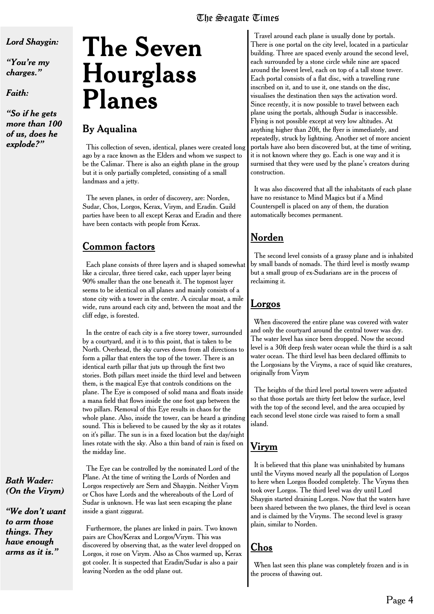#### *Lord Shaygin:*

*"You're my charges."*

*Faith:*

*"So if he gets more than 100 of us, does he explode?"*

# **The Seven Hourglass Planes**

#### By Aqualina

This collection of seven, identical, planes were created long ago by a race known as the Elders and whom we suspect to be the Calimar. There is also an eighth plane in the group but it is only partially completed, consisting of a small landmass and a jetty.

The seven planes, in order of discovery, are: Norden, Sudar, Chos, Lorgos, Kerax, Virym, and Eradin. Guild parties have been to all except Kerax and Eradin and there have been contacts with people from Kerax.

#### Common factors

Each plane consists of three layers and is shaped somewhat like a circular, three tiered cake, each upper layer being 90% smaller than the one beneath it. The topmost layer seems to be identical on all planes and mainly consists of a stone city with a tower in the centre. A circular moat, a mile wide, runs around each city and, between the moat and the cliff edge, is forested.

In the centre of each city is a five storey tower, surrounded by a courtyard, and it is to this point, that is taken to be North. Overhead, the sky curves down from all directions to form a pillar that enters the top of the tower. There is an identical earth pillar that juts up through the first two stories. Both pillars meet inside the third level and between them, is the magical Eye that controls conditions on the plane. The Eye is composed of solid mana and floats inside a mana field that flows inside the one foot gap between the two pillars. Removal of this Eye results in chaos for the whole plane. Also, inside the tower, can be heard a grinding sound. This is believed to be caused by the sky as it rotates on it's pillar. The sun is in a fixed location but the day/night lines rotate with the sky. Also a thin band of rain is fixed on the midday line.

The Eye can be controlled by the nominated Lord of the Plane. At the time of writing the Lords of Norden and Lorgos respectively are Sern and Shaygin. Neither Virym or Chos have Lords and the whereabouts of the Lord of Sudar is unknown. He was last seen escaping the plane inside a giant ziggurat.

Furthermore, the planes are linked in pairs. Two known pairs are Chos/Kerax and Lorgos/Virym. This was discovered by observing that, as the water level dropped on Lorgos, it rose on Virym. Also as Chos warmed up, Kerax got cooler. It is suspected that Eradin/Sudar is also a pair leaving Norden as the odd plane out.

Travel around each plane is usually done by portals. There is one portal on the city level, located in a particular building. Three are spaced evenly around the second level, each surrounded by a stone circle while nine are spaced around the lowest level, each on top of a tall stone tower. Each portal consists of a flat disc, with a travelling rune inscribed on it, and to use it, one stands on the disc, visualises the destination then says the activation word. Since recently, it is now possible to travel between each plane using the portals, although Sudar is inaccessible. Flying is not possible except at very low altitudes. At anything higher than 20ft, the flyer is immediately, and repeatedly, struck by lightning. Another set of more ancient portals have also been discovered but, at the time of writing, it is not known where they go. Each is one way and it is surmised that they were used by the plane's creators during construction.

It was also discovered that all the inhabitants of each plane have no resistance to Mind Magics but if a Mind Counterspell is placed on any of them, the duration automatically becomes permanent.

#### Norden

The second level consists of a grassy plane and is inhabited by small bands of nomads. The third level is mostly swamp but a small group of ex-Sudarians are in the process of reclaiming it.

#### Lorgos

When discovered the entire plane was covered with water and only the courtyard around the central tower was dry. The water level has since been dropped. Now the second level is a 30ft deep fresh water ocean while the third is a salt water ocean. The third level has been declared offlimits to the Lorgosians by the Viryms, a race of squid like creatures, originally from Virym

The heights of the third level portal towers were adjusted so that those portals are thirty feet below the surface, level with the top of the second level, and the area occupied by each second level stone circle was raised to form a small island.

#### Virym

It is believed that this plane was uninhabited by humans until the Viryms moved nearly all the population of Lorgos to here when Lorgos flooded completely. The Viryms then took over Lorgos. The third level was dry until Lord Shaygin started draining Lorgos. Now that the waters have been shared between the two planes, the third level is ocean and is claimed by the Viryms. The second level is grassy plain, similar to Norden.

#### Chos

When last seen this plane was completely frozen and is in the process of thawing out.

*Bath Wader: (On the Virym)*

*"We don't want to arm those things. They have enough arms as it is."*

#### The Seagate Times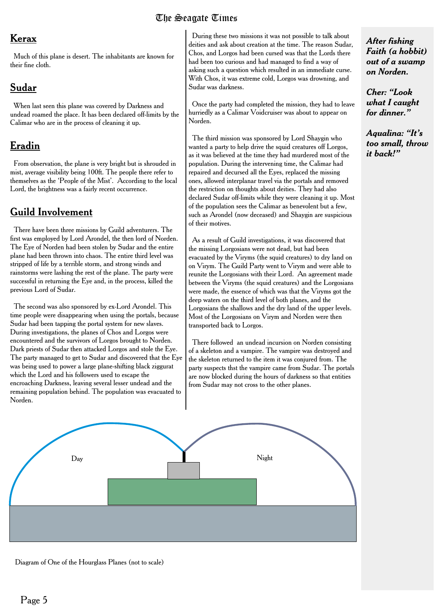#### The Seagate Times

#### Kerax

Much of this plane is desert. The inhabitants are known for their fine cloth.

#### Sudar

When last seen this plane was covered by Darkness and undead roamed the place. It has been declared off-limits by the Calimar who are in the process of cleaning it up.

#### Eradin

From observation, the plane is very bright but is shrouded in mist, average visibility being 100ft. The people there refer to themselves as the 'People of the Mist'. According to the local Lord, the brightness was a fairly recent occurrence.

#### Guild Involvement

There have been three missions by Guild adventurers. The first was employed by Lord Arondel, the then lord of Norden. The Eye of Norden had been stolen by Sudar and the entire plane had been thrown into chaos. The entire third level was stripped of life by a terrible storm, and strong winds and rainstorms were lashing the rest of the plane. The party were successful in returning the Eye and, in the process, killed the previous Lord of Sudar.

The second was also sponsored by ex-Lord Arondel. This time people were disappearing when using the portals, because Sudar had been tapping the portal system for new slaves. During investigations, the planes of Chos and Lorgos were encountered and the survivors of Lorgos brought to Norden. Dark priests of Sudar then attacked Lorgos and stole the Eye. The party managed to get to Sudar and discovered that the Eye was being used to power a large plane-shifting black ziggurat which the Lord and his followers used to escape the encroaching Darkness, leaving several lesser undead and the remaining population behind. The population was evacuated to Norden.

During these two missions it was not possible to talk about deities and ask about creation at the time. The reason Sudar, Chos, and Lorgos had been cursed was that the Lords there had been too curious and had managed to find a way of asking such a question which resulted in an immediate curse. With Chos, it was extreme cold, Lorgos was drowning, and Sudar was darkness.

Once the party had completed the mission, they had to leave hurriedly as a Calimar Voidcruiser was about to appear on Norden.

The third mission was sponsored by Lord Shaygin who wanted a party to help drive the squid creatures off Lorgos, as it was believed at the time they had murdered most of the population. During the intervening time, the Calimar had repaired and decursed all the Eyes, replaced the missing ones, allowed interplanar travel via the portals and removed the restriction on thoughts about deities. They had also declared Sudar off-limits while they were cleaning it up. Most of the population sees the Calimar as benevolent but a few, such as Arondel (now deceased) and Shaygin are suspicious of their motives.

As a result of Guild investigations, it was discovered that the missing Lorgosians were not dead, but had been evacuated by the Viryms (the squid creatures) to dry land on on Virym. The Guild Party went to Virym and were able to reunite the Lorgosians with their Lord. An agreement made between the Viryms (the squid creatures) and the Lorgosians were made, the essence of which was that the Viryms got the deep waters on the third level of both planes, and the Lorgosians the shallows and the dry land of the upper levels. Most of the Lorgosians on Virym and Norden were then transported back to Lorgos.

There followed an undead incursion on Norden consisting of a skeleton and a vampire. The vampire was destroyed and the skeleton returned to the item it was conjured from. The party suspects thst the vampire came from Sudar. The portals are now blocked during the hours of darkness so that entities from Sudar may not cross to the other planes.



Diagram of One of the Hourglass Planes (not to scale)

#### *After fishing Faith (a hobbit) out of a swamp on Norden.*

*Cher: "Look what I caught for dinner."*

*Aqualina: "It's too small, throw it back!"*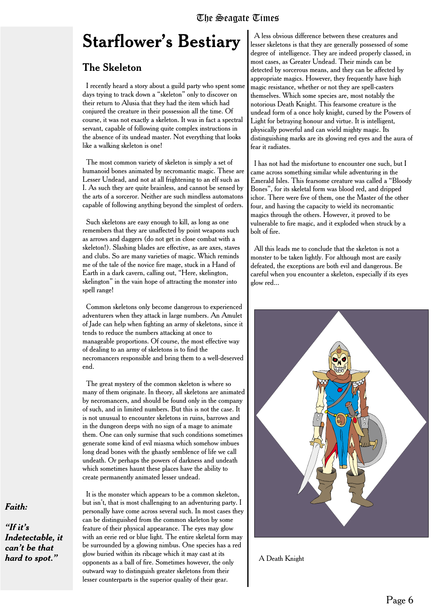### **Starflower's Bestiary**

#### The Skeleton

I recently heard a story about a guild party who spent some days trying to track down a "skeleton" only to discover on their return to Alusia that they had the item which had conjured the creature in their possession all the time. Of course, it was not exactly a skeleton. It was in fact a spectral servant, capable of following quite complex instructions in the absence of its undead master. Not everything that looks like a walking skeleton is one!

The most common variety of skeleton is simply a set of humanoid bones animated by necromantic magic. These are Lesser Undead, and not at all frightening to an elf such as I. As such they are quite brainless, and cannot be sensed by the arts of a sorceror. Neither are such mindless automatons capable of following anything beyond the simplest of orders.

Such skeletons are easy enough to kill, as long as one remembers that they are unaffected by point weapons such as arrows and daggers (do not get in close combat with a skeleton!). Slashing blades are effective, as are axes, staves and clubs. So are many varieties of magic. Which reminds me of the tale of the novice fire mage, stuck in a Hand of Earth in a dark cavern, calling out, "Here, skelington, skelington" in the vain hope of attracting the monster into spell range!

Common skeletons only become dangerous to experienced adventurers when they attack in large numbers. An Amulet of Jade can help when fighting an army of skeletons, since it tends to reduce the numbers attacking at once to manageable proportions. Of course, the most effective way of dealing to an army of skeletons is to find the necromancers responsible and bring them to a well-deserved end.

The great mystery of the common skeleton is where so many of them originate. In theory, all skeletons are animated by necromancers, and should be found only in the company of such, and in limited numbers. But this is not the case. It is not unusual to encounter skeletons in ruins, barrows and in the dungeon deeps with no sign of a mage to animate them. One can only surmise that such conditions sometimes generate some kind of evil miasma which somehow imbues long dead bones with the ghastly semblence of life we call undeath. Or perhaps the powers of darkness and undeath which sometimes haunt these places have the ability to create permanently animated lesser undead.

It is the monster which appears to be a common skeleton, but isn't, that is most challenging to an adventuring party. I personally have come across several such. In most cases they can be distinguished from the common skeleton by some feature of their physical appearance. The eyes may glow with an eerie red or blue light. The entire skeletal form may be surrounded by a glowing nimbus. One species has a red glow buried within its ribcage which it may cast at its hard to spot." Show buried within its ribcage which it may cast at its<br>opponents as a ball of fire. Sometimes however, the only A Death Knight outward way to distinguish greater skeletons from their lesser counterparts is the superior quality of their gear.

A less obvious difference between these creatures and lesser skeletons is that they are generally possessed of some degree of intelligence. They are indeed properly classed, in most cases, as Greater Undead. Their minds can be detected by sorcerous means, and they can be affected by appropriate magics. However, they frequently have high magic resistance, whether or not they are spell-casters themselves. Which some species are, most notably the notorious Death Knight. This fearsome creature is the undead form of a once holy knight, cursed by the Powers of Light for betraying honour and virtue. It is intelligent, physically powerful and can wield mighty magic. Its distinguishing marks are its glowing red eyes and the aura of fear it radiates.

I has not had the misfortune to encounter one such, but I came across something similar while adventuring in the Emerald Isles. This fearsome creature was called a "Bloody Bones", for its skeletal form was blood red, and dripped ichor. There were five of them, one the Master of the other four, and having the capacity to wield its necromantic magics through the others. However, it proved to be vulnerable to fire magic, and it exploded when struck by a bolt of fire.

All this leads me to conclude that the skeleton is not a monster to be taken lightly. For although most are easily defeated, the exceptions are both evil and dangerous. Be careful when you encounter a skeleton, especially if its eyes glow red...



#### *Faith:*

*"If it's Indetectable, it can't be that*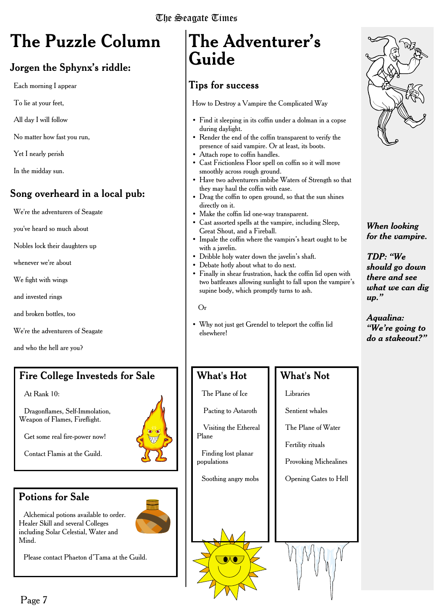# **The Puzzle Column**

#### Jorgen the Sphynx's riddle:

Each morning I appear

To lie at your feet,

All day I will follow

No matter how fast you run,

Yet I nearly perish

In the midday sun.

#### Song overheard in a local pub:

We're the adventurers of Seagate

you've heard so much about

Nobles lock their daughters up

whenever we're about

We fight with wings

and invested rings

and broken bottles, too

We're the adventurers of Seagate

and who the hell are you?

#### Fire College Investeds for Sale

At Rank 10:

Dragonflames, Self-Immolation, Weapon of Flames, Fireflight.

Get some real fire-power now!

Contact Flamis at the Guild.

#### Potions for Sale

Alchemical potions available to order. Healer Skill and several Colleges including Solar Celestial, Water and Mind.



Please contact Phaeton d'Tama at the Guild.

### **The Adventurer's Guide**

#### Tips for success

How to Destroy a Vampire the Complicated Way

- Find it sleeping in its coffin under a dolman in a copse during daylight.
- Render the end of the coffin transparent to verify the presence of said vampire. Or at least, its boots.
- Attach rope to coffin handles.
- Cast Frictionless Floor spell on coffin so it will move smoothly across rough ground.
- Have two adventurers imbibe Waters of Strength so that they may haul the coffin with ease.
- Drag the coffin to open ground, so that the sun shines directly on it.
- Make the coffin lid one-way transparent.
- Cast assorted spells at the vampire, including Sleep, Great Shout, and a Fireball.
- Impale the coffin where the vampirs's heart ought to be with a javelin.
- Dribble holy water down the javelin's shaft.
- Debate hotly about what to do next.
- Finally in shear frustration, hack the coffin lid open with two battleaxes allowing sunlight to fall upon the vampire's supine body, which promptly turns to ash.

#### Or

• Why not just get Grendel to teleport the coffin lid elsewhere!

#### What's Hot

The Plane of Ice

Pacting to Astaroth

Visiting the Ethereal Plane

Finding lost planar populations

Soothing angry mobs

#### What's Not

#### Libraries

Sentient whales

The Plane of Water

Fertility rituals

Provoking Michealines

Opening Gates to Hell



#### *When looking for the vampire.*

*TDP: "We should go down there and see what we can dig up."*

*Aqualina: "We're going to do a stakeout?"*